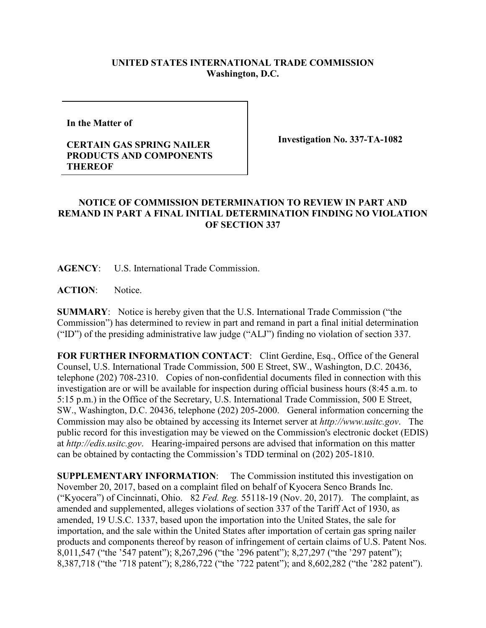## **UNITED STATES INTERNATIONAL TRADE COMMISSION Washington, D.C.**

**In the Matter of** 

## **CERTAIN GAS SPRING NAILER PRODUCTS AND COMPONENTS THEREOF**

**Investigation No. 337-TA-1082**

## **NOTICE OF COMMISSION DETERMINATION TO REVIEW IN PART AND REMAND IN PART A FINAL INITIAL DETERMINATION FINDING NO VIOLATION OF SECTION 337**

**AGENCY**: U.S. International Trade Commission.

**ACTION**: Notice.

**SUMMARY**: Notice is hereby given that the U.S. International Trade Commission ("the Commission") has determined to review in part and remand in part a final initial determination ("ID") of the presiding administrative law judge ("ALJ") finding no violation of section 337.

FOR FURTHER INFORMATION CONTACT: Clint Gerdine, Esq., Office of the General Counsel, U.S. International Trade Commission, 500 E Street, SW., Washington, D.C. 20436, telephone (202) 708-2310. Copies of non-confidential documents filed in connection with this investigation are or will be available for inspection during official business hours (8:45 a.m. to 5:15 p.m.) in the Office of the Secretary, U.S. International Trade Commission, 500 E Street, SW., Washington, D.C. 20436, telephone (202) 205-2000. General information concerning the Commission may also be obtained by accessing its Internet server at *http://www.usitc.gov*. The public record for this investigation may be viewed on the Commission's electronic docket (EDIS) at *http://edis.usitc.gov*. Hearing-impaired persons are advised that information on this matter can be obtained by contacting the Commission's TDD terminal on (202) 205-1810.

**SUPPLEMENTARY INFORMATION**: The Commission instituted this investigation on November 20, 2017, based on a complaint filed on behalf of Kyocera Senco Brands Inc. ("Kyocera") of Cincinnati, Ohio. 82 *Fed. Reg.* 55118-19 (Nov. 20, 2017). The complaint, as amended and supplemented, alleges violations of section 337 of the Tariff Act of 1930, as amended, 19 U.S.C. 1337, based upon the importation into the United States, the sale for importation, and the sale within the United States after importation of certain gas spring nailer products and components thereof by reason of infringement of certain claims of U.S. Patent Nos. 8,011,547 ("the '547 patent"); 8,267,296 ("the '296 patent"); 8,27,297 ("the '297 patent"); 8,387,718 ("the '718 patent"); 8,286,722 ("the '722 patent"); and 8,602,282 ("the '282 patent").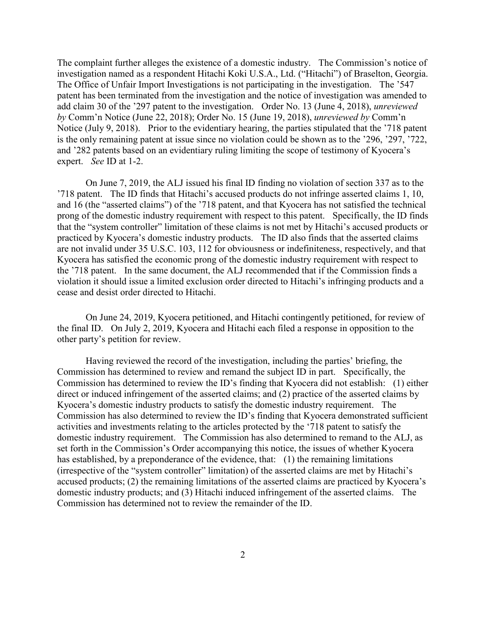The complaint further alleges the existence of a domestic industry. The Commission's notice of investigation named as a respondent Hitachi Koki U.S.A., Ltd. ("Hitachi") of Braselton, Georgia. The Office of Unfair Import Investigations is not participating in the investigation. The '547 patent has been terminated from the investigation and the notice of investigation was amended to add claim 30 of the '297 patent to the investigation. Order No. 13 (June 4, 2018), *unreviewed by* Comm'n Notice (June 22, 2018); Order No. 15 (June 19, 2018), *unreviewed by* Comm'n Notice (July 9, 2018). Prior to the evidentiary hearing, the parties stipulated that the '718 patent is the only remaining patent at issue since no violation could be shown as to the '296, '297, '722, and '282 patents based on an evidentiary ruling limiting the scope of testimony of Kyocera's expert. *See* ID at 1-2.

On June 7, 2019, the ALJ issued his final ID finding no violation of section 337 as to the '718 patent. The ID finds that Hitachi's accused products do not infringe asserted claims 1, 10, and 16 (the "asserted claims") of the '718 patent, and that Kyocera has not satisfied the technical prong of the domestic industry requirement with respect to this patent. Specifically, the ID finds that the "system controller" limitation of these claims is not met by Hitachi's accused products or practiced by Kyocera's domestic industry products. The ID also finds that the asserted claims are not invalid under 35 U.S.C. 103, 112 for obviousness or indefiniteness, respectively, and that Kyocera has satisfied the economic prong of the domestic industry requirement with respect to the '718 patent. In the same document, the ALJ recommended that if the Commission finds a violation it should issue a limited exclusion order directed to Hitachi's infringing products and a cease and desist order directed to Hitachi.

On June 24, 2019, Kyocera petitioned, and Hitachi contingently petitioned, for review of the final ID. On July 2, 2019, Kyocera and Hitachi each filed a response in opposition to the other party's petition for review.

Having reviewed the record of the investigation, including the parties' briefing, the Commission has determined to review and remand the subject ID in part. Specifically, the Commission has determined to review the ID's finding that Kyocera did not establish: (1) either direct or induced infringement of the asserted claims; and (2) practice of the asserted claims by Kyocera's domestic industry products to satisfy the domestic industry requirement. The Commission has also determined to review the ID's finding that Kyocera demonstrated sufficient activities and investments relating to the articles protected by the '718 patent to satisfy the domestic industry requirement. The Commission has also determined to remand to the ALJ, as set forth in the Commission's Order accompanying this notice, the issues of whether Kyocera has established, by a preponderance of the evidence, that: (1) the remaining limitations (irrespective of the "system controller" limitation) of the asserted claims are met by Hitachi's accused products; (2) the remaining limitations of the asserted claims are practiced by Kyocera's domestic industry products; and (3) Hitachi induced infringement of the asserted claims. The Commission has determined not to review the remainder of the ID.